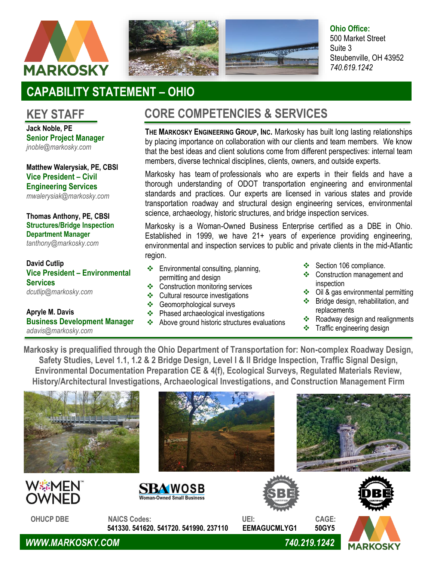





**Ohio Office:** 500 Market Street Suite 3 Steubenville, OH 43952 *740.619.1242*

# **CAPABILITY STATEMENT – OHIO**

### **KEY STAFF**

**Jack Noble, PE Senior Project Manager** *jnoble@markosky.com*

**Matthew Walerysiak, PE, CBSI Vice President – Civil Engineering Services**  *[mwalerysiak@markosky.com](mailto:mwalerysiak@markosky.com)*

### **Thomas Anthony, PE, CBSI Structures/Bridge Inspection Department Manager**

*[tanthony@markosky.com](mailto:tanthony@markosky.com)*

**David Cutlip Vice President – Environmental Services**  *[dcutlip@markosky.com](mailto:dcutlip@markosky.com)*

#### **Apryle M. Davis Business Development Manager** *[adavis@markosky.com](mailto:adavis@markosky.com)*

## **CORE COMPETENCIES & SERVICES**

**THE MARKOSKY ENGINEERING GROUP, INC.** Markosky has built long lasting relationships by placing importance on collaboration with our clients and team members. We know that the best ideas and client solutions come from different perspectives: internal team members, diverse technical disciplines, clients, owners, and outside experts.

Markosky has team of professionals who are experts in their fields and have a thorough understanding of ODOT transportation engineering and environmental standards and practices. Our experts are licensed in various states and provide transportation roadway and structural design engineering services, environmental science, archaeology, historic structures, and bridge inspection services.

Markosky is a Woman-Owned Business Enterprise certified as a DBE in Ohio. Established in 1999, we have 21+ years of experience providing engineering, environmental and inspection services to public and private clients in the mid-Atlantic region.

- ❖ Environmental consulting, planning, permitting and design
- ❖ Construction monitoring services
- ❖ Cultural resource investigations
- ❖ Geomorphological surveys
- ❖ Phased archaeological investigations
- ❖ Above ground historic structures evaluations
- Section 106 compliance.
- ❖ Construction management and inspection
- ❖ Oil & gas environmental permitting
- ❖ Bridge design, rehabilitation, and replacements
- ❖ Roadway design and realignments
- ❖ Traffic engineering design

**Markosky is prequalified through the Ohio Department of Transportation for: Non-complex Roadway Design, Safety Studies, Level 1.1, 1.2 & 2 Bridge Design, Level I & II Bridge Inspection, Traffic Signal Design, Environmental Documentation Preparation CE & 4(f), Ecological Surveys, Regulated Materials Review, History/Architectural Investigations, Archaeological Investigations, and Construction Management Firm**